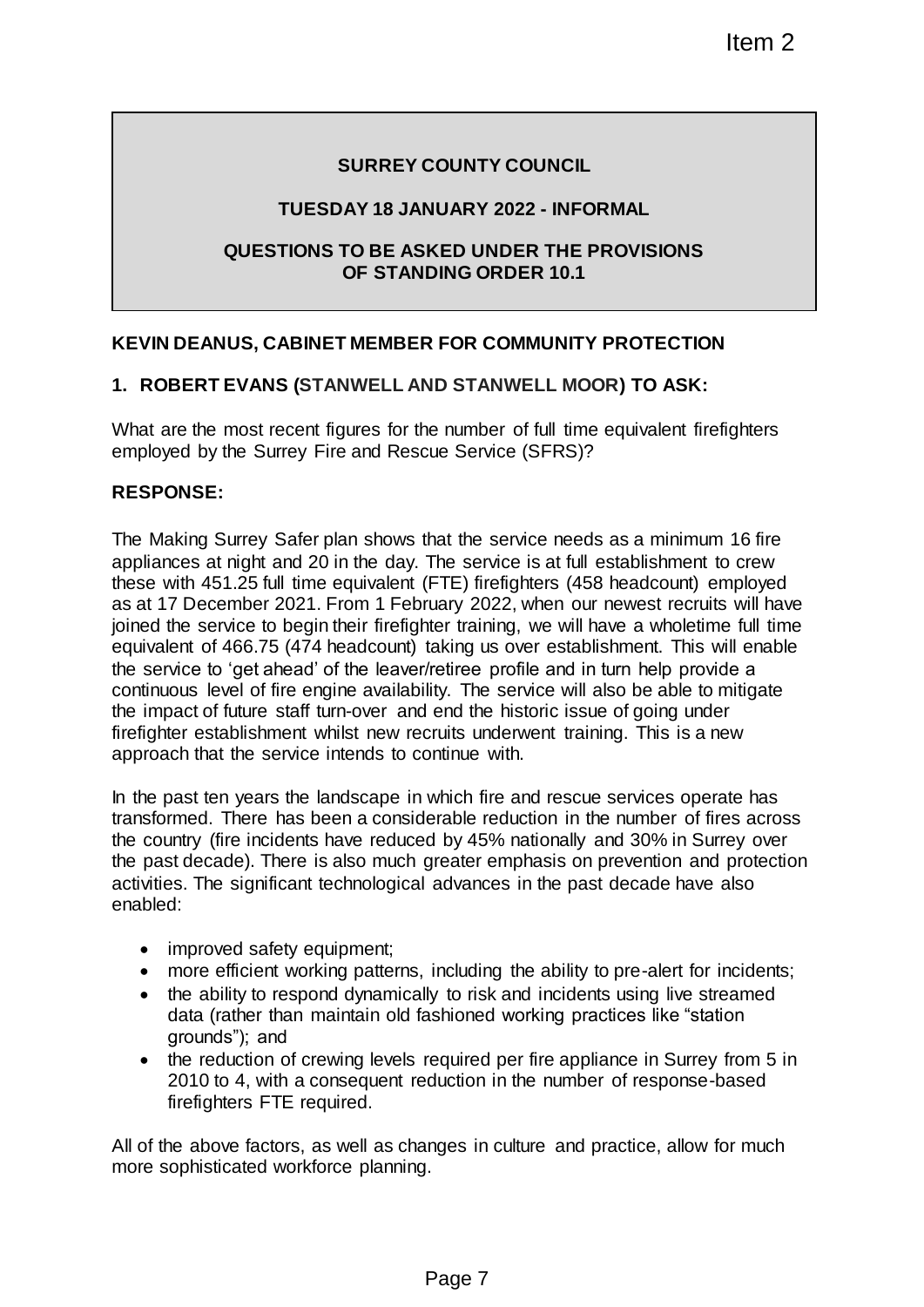# **SURREY COUNTY COUNCIL**

# **TUESDAY 18 JANUARY 2022 - INFORMAL**

# **QUESTIONS TO BE ASKED UNDER THE PROVISIONS OF STANDING ORDER 10.1**

# **KEVIN DEANUS, CABINET MEMBER FOR COMMUNITY PROTECTION**

# **1. ROBERT EVANS (STANWELL AND STANWELL MOOR) TO ASK:**

What are the most recent figures for the number of full time equivalent firefighters employed by the Surrey Fire and Rescue Service (SFRS)?

### **RESPONSE:**

The Making Surrey Safer plan shows that the service needs as a minimum 16 fire appliances at night and 20 in the day. The service is at full establishment to crew these with 451.25 full time equivalent (FTE) firefighters (458 headcount) employed as at 17 December 2021. From 1 February 2022, when our newest recruits will have joined the service to begin their firefighter training, we will have a wholetime full time equivalent of 466.75 (474 headcount) taking us over establishment. This will enable the service to 'get ahead' of the leaver/retiree profile and in turn help provide a continuous level of fire engine availability. The service will also be able to mitigate the impact of future staff turn-over and end the historic issue of going under firefighter establishment whilst new recruits underwent training. This is a new approach that the service intends to continue with. Item 2<br>
COUNTY COUNCIL<br>
NUARY 2022 - INFORMAL<br>
KED UNDER THE PROVISIONS<br>
DING ORDER 10.1<br>
RED UNDER THE PROVISIONS<br>
ND STANWELL MOOR) TO ASK:<br>
the number of full time equivalent firefighters<br>
the number of full time equiva

In the past ten years the landscape in which fire and rescue services operate has transformed. There has been a considerable reduction in the number of fires across the country (fire incidents have reduced by 45% nationally and 30% in Surrey over the past decade). There is also much greater emphasis on prevention and protection activities. The significant technological advances in the past decade have also enabled:

- improved safety equipment;
- more efficient working patterns, including the ability to pre-alert for incidents;
- the ability to respond dynamically to risk and incidents using live streamed data (rather than maintain old fashioned working practices like "station grounds"); and
- the reduction of crewing levels required per fire appliance in Surrey from 5 in 2010 to 4, with a consequent reduction in the number of response-based firefighters FTE required.

All of the above factors, as well as changes in culture and practice, allow for much more sophisticated workforce planning.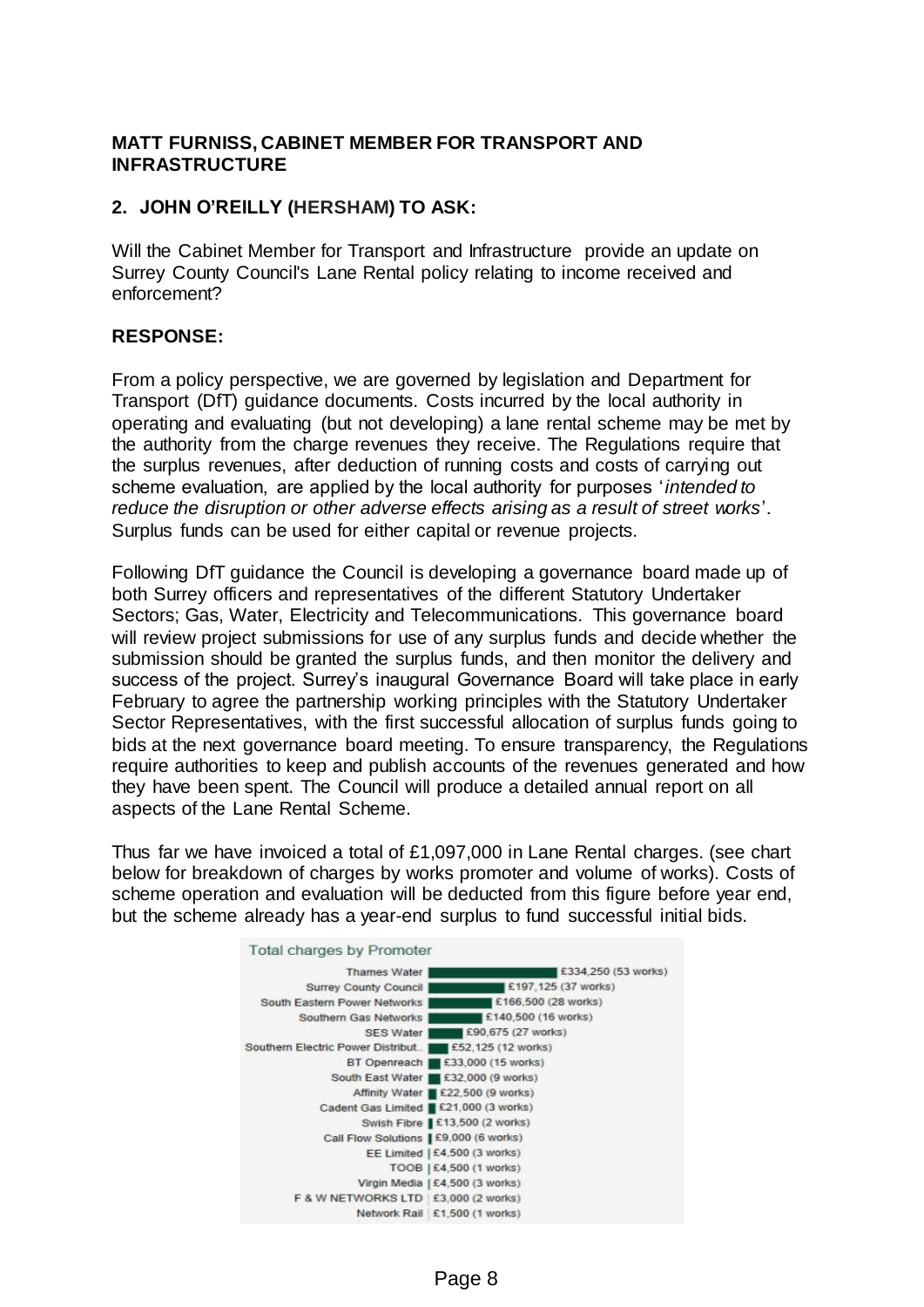# **MATT FURNISS, CABINET MEMBER FOR TRANSPORT AND INFRASTRUCTURE**

# **2. JOHN O'REILLY (HERSHAM) TO ASK:**

Will the Cabinet Member for Transport and Infrastructure provide an update on Surrey County Council's Lane Rental policy relating to income received and enforcement?

### **RESPONSE:**

From a policy perspective, we are governed by legislation and Department for Transport (DfT) guidance documents. Costs incurred by the local authority in operating and evaluating (but not developing) a lane rental scheme may be met by the authority from the charge revenues they receive. The Regulations require that the surplus revenues, after deduction of running costs and costs of carrying out scheme evaluation, are applied by the local authority for purposes '*intended to reduce the disruption or other adverse effects arising as a result of street works*'. Surplus funds can be used for either capital or revenue projects.

Following DfT guidance the Council is developing a governance board made up of both Surrey officers and representatives of the different Statutory Undertaker Sectors; Gas, Water, Electricity and Telecommunications. This governance board will review project submissions for use of any surplus funds and decide whether the submission should be granted the surplus funds, and then monitor the delivery and success of the project. Surrey's inaugural Governance Board will take place in early February to agree the partnership working principles with the Statutory Undertaker Sector Representatives, with the first successful allocation of surplus funds going to bids at the next governance board meeting. To ensure transparency, the Regulations require authorities to keep and publish accounts of the revenues generated and how they have been spent. The Council will produce a detailed annual report on all aspects of the Lane Rental Scheme.

Thus far we have invoiced a total of £1,097,000 in Lane Rental charges. (see chart below for breakdown of charges by works promoter and volume of works). Costs of scheme operation and evaluation will be deducted from this figure before year end, but the scheme already has a year-end surplus to fund successful initial bids.



#### **Total charges by Promoter**

Page 8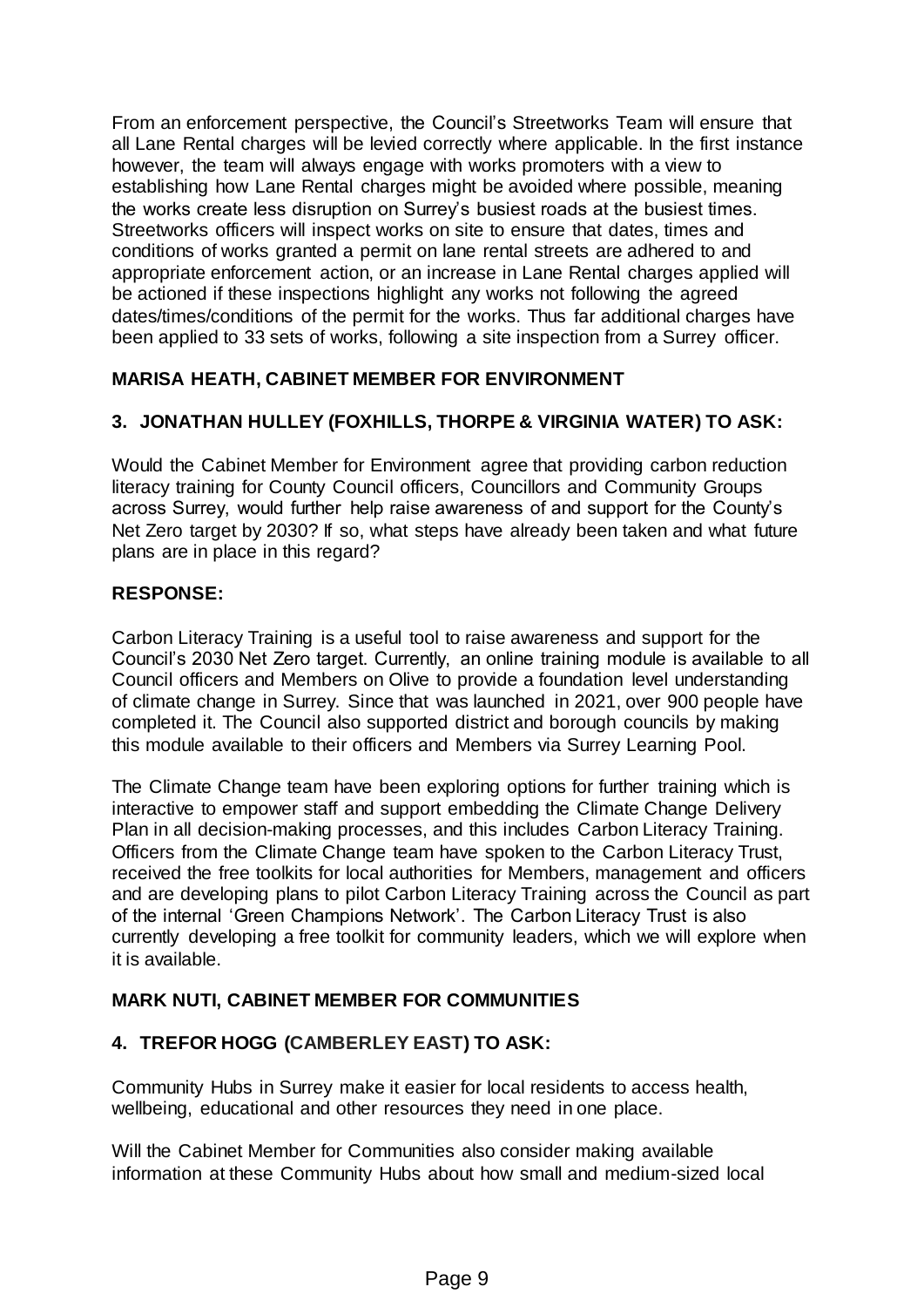From an enforcement perspective, the Council's Streetworks Team will ensure that all Lane Rental charges will be levied correctly where applicable. In the first instance however, the team will always engage with works promoters with a view to establishing how Lane Rental charges might be avoided where possible, meaning the works create less disruption on Surrey's busiest roads at the busiest times. Streetworks officers will inspect works on site to ensure that dates, times and conditions of works granted a permit on lane rental streets are adhered to and appropriate enforcement action, or an increase in Lane Rental charges applied will be actioned if these inspections highlight any works not following the agreed dates/times/conditions of the permit for the works. Thus far additional charges have been applied to 33 sets of works, following a site inspection from a Surrey officer.

# **MARISA HEATH, CABINET MEMBER FOR ENVIRONMENT**

# **3. JONATHAN HULLEY (FOXHILLS, THORPE & VIRGINIA WATER) TO ASK:**

Would the Cabinet Member for Environment agree that providing carbon reduction literacy training for County Council officers, Councillors and Community Groups across Surrey, would further help raise awareness of and support for the County's Net Zero target by 2030? If so, what steps have already been taken and what future plans are in place in this regard?

### **RESPONSE:**

Carbon Literacy Training is a useful tool to raise awareness and support for the Council's 2030 Net Zero target. Currently, an online training module is available to all Council officers and Members on Olive to provide a foundation level understanding of climate change in Surrey. Since that was launched in 2021, over 900 people have completed it. The Council also supported district and borough councils by making this module available to their officers and Members via Surrey Learning Pool.

The Climate Change team have been exploring options for further training which is interactive to empower staff and support embedding the Climate Change Delivery Plan in all decision-making processes, and this includes Carbon Literacy Training. Officers from the Climate Change team have spoken to the Carbon Literacy Trust, received the free toolkits for local authorities for Members, management and officers and are developing plans to pilot Carbon Literacy Training across the Council as part of the internal 'Green Champions Network'. The Carbon Literacy Trust is also currently developing a free toolkit for community leaders, which we will explore when it is available.

# **MARK NUTI, CABINET MEMBER FOR COMMUNITIES**

# **4. TREFOR HOGG (CAMBERLEY EAST) TO ASK:**

Community Hubs in Surrey make it easier for local residents to access health, wellbeing, educational and other resources they need in one place.

Will the Cabinet Member for Communities also consider making available information at these Community Hubs about how small and medium-sized local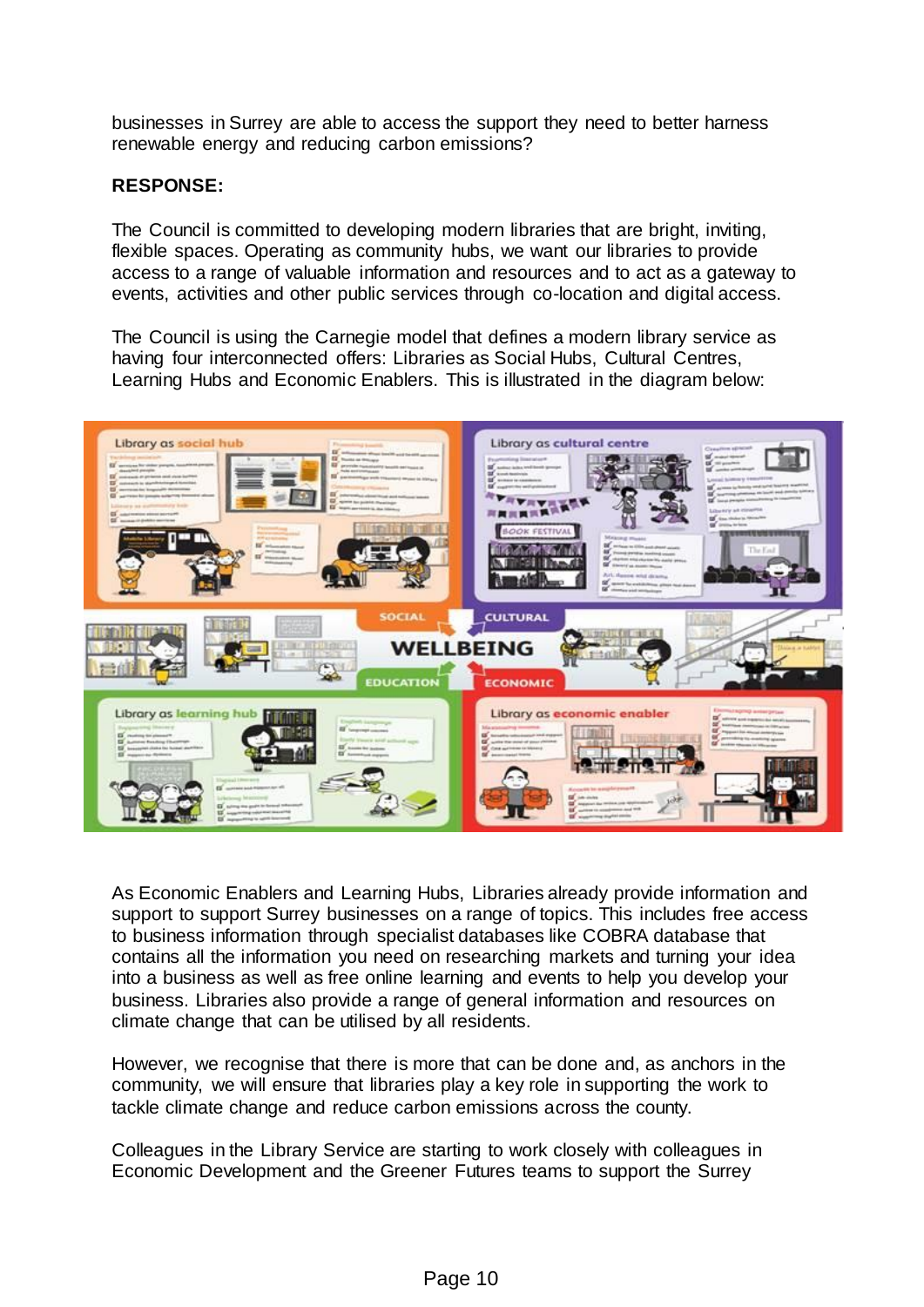businesses in Surrey are able to access the support they need to better harness renewable energy and reducing carbon emissions?

### **RESPONSE:**

The Council is committed to developing modern libraries that are bright, inviting, flexible spaces. Operating as community hubs, we want our libraries to provide access to a range of valuable information and resources and to act as a gateway to events, activities and other public services through co-location and digital access.

The Council is using the Carnegie model that defines a modern library service as having four interconnected offers: Libraries as Social Hubs, Cultural Centres, Learning Hubs and Economic Enablers. This is illustrated in the diagram below:



As Economic Enablers and Learning Hubs, Libraries already provide information and support to support Surrey businesses on a range of topics. This includes free access to business information through specialist databases like COBRA database that contains all the information you need on researching markets and turning your idea into a business as well as free online learning and events to help you develop your business. Libraries also provide a range of general information and resources on climate change that can be utilised by all residents.

However, we recognise that there is more that can be done and, as anchors in the community, we will ensure that libraries play a key role in supporting the work to tackle climate change and reduce carbon emissions across the county.

Colleagues in the Library Service are starting to work closely with colleagues in Economic Development and the Greener Futures teams to support the Surrey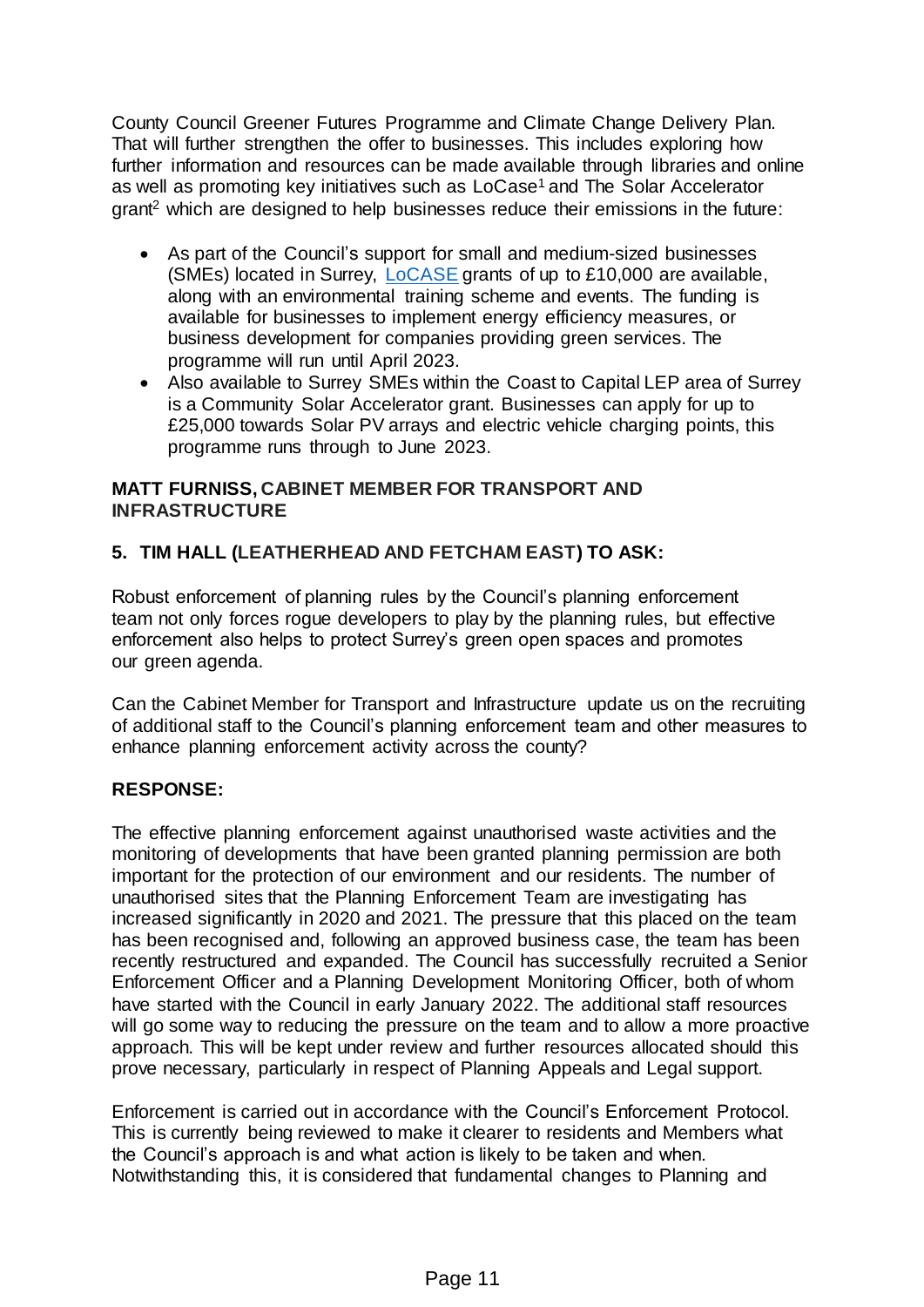County Council Greener Futures Programme and Climate Change Delivery Plan. That will further strengthen the offer to businesses. This includes exploring how further information and resources can be made available through libraries and online as well as promoting key initiatives such as LoCase<sup>1</sup> and The Solar Accelerator grant<sup>2</sup> which are designed to help businesses reduce their emissions in the future:

- As part of the Council's support for small and medium-sized businesses (SMEs) located in Surrey, [LoCASE](https://www.surreycc.gov.uk/people-and-community/climate-change/businesses) grants of up to £10,000 are available, along with an environmental training scheme and events. The funding is available for businesses to implement energy efficiency measures, or business development for companies providing green services. The programme will run until April 2023.
- Also available to Surrey SMEs within the Coast to Capital LEP area of Surrey is a Community Solar Accelerator grant. Businesses can apply for up to £25,000 towards Solar PV arrays and electric vehicle charging points, this programme runs through to June 2023.

# **MATT FURNISS, CABINET MEMBER FOR TRANSPORT AND INFRASTRUCTURE**

# **5. TIM HALL (LEATHERHEAD AND FETCHAM EAST) TO ASK:**

Robust enforcement of planning rules by the Council's planning enforcement team not only forces rogue developers to play by the planning rules, but effective enforcement also helps to protect Surrey's green open spaces and promotes our green agenda.

Can the Cabinet Member for Transport and Infrastructure update us on the recruiting of additional staff to the Council's planning enforcement team and other measures to enhance planning enforcement activity across the county?

# **RESPONSE:**

The effective planning enforcement against unauthorised waste activities and the monitoring of developments that have been granted planning permission are both important for the protection of our environment and our residents. The number of unauthorised sites that the Planning Enforcement Team are investigating has increased significantly in 2020 and 2021. The pressure that this placed on the team has been recognised and, following an approved business case, the team has been recently restructured and expanded. The Council has successfully recruited a Senior Enforcement Officer and a Planning Development Monitoring Officer, both of whom have started with the Council in early January 2022. The additional staff resources will go some way to reducing the pressure on the team and to allow a more proactive approach. This will be kept under review and further resources allocated should this prove necessary, particularly in respect of Planning Appeals and Legal support.

Enforcement is carried out in accordance with the Council's Enforcement Protocol. This is currently being reviewed to make it clearer to residents and Members what the Council's approach is and what action is likely to be taken and when. Notwithstanding this, it is considered that fundamental changes to Planning and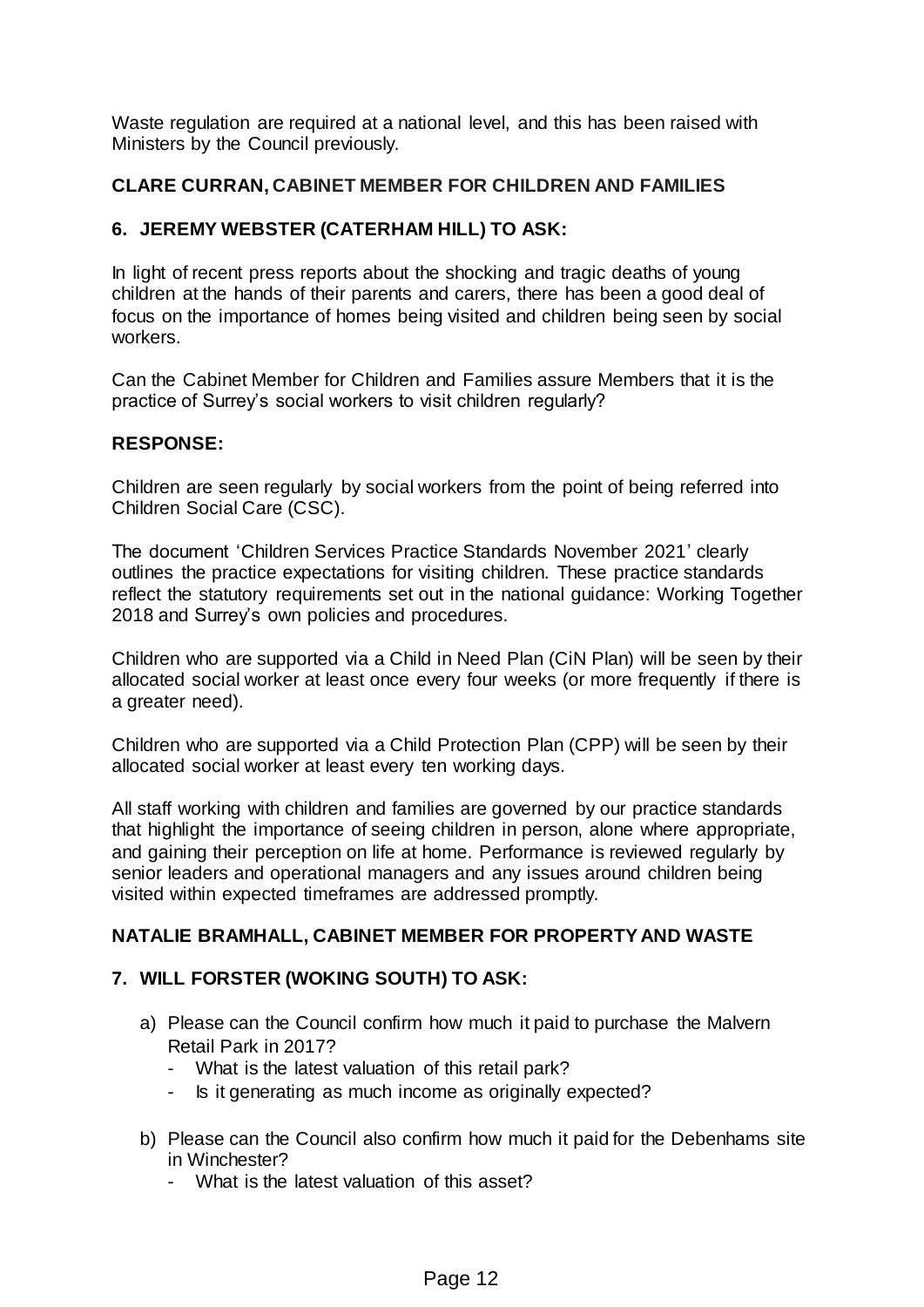Waste regulation are required at a national level, and this has been raised with Ministers by the Council previously.

# **CLARE CURRAN, CABINET MEMBER FOR CHILDREN AND FAMILIES**

# **6. JEREMY WEBSTER (CATERHAM HILL) TO ASK:**

In light of recent press reports about the shocking and tragic deaths of young children at the hands of their parents and carers, there has been a good deal of focus on the importance of homes being visited and children being seen by social workers.

Can the Cabinet Member for Children and Families assure Members that it is the practice of Surrey's social workers to visit children regularly?

# **RESPONSE:**

Children are seen regularly by social workers from the point of being referred into Children Social Care (CSC).

The document 'Children Services Practice Standards November 2021' clearly outlines the practice expectations for visiting children. These practice standards reflect the statutory requirements set out in the national guidance: Working Together 2018 and Surrey's own policies and procedures.

Children who are supported via a Child in Need Plan (CiN Plan) will be seen by their allocated social worker at least once every four weeks (or more frequently if there is a greater need).

Children who are supported via a Child Protection Plan (CPP) will be seen by their allocated social worker at least every ten working days.

All staff working with children and families are governed by our practice standards that highlight the importance of seeing children in person, alone where appropriate, and gaining their perception on life at home. Performance is reviewed regularly by senior leaders and operational managers and any issues around children being visited within expected timeframes are addressed promptly.

# **NATALIE BRAMHALL, CABINET MEMBER FOR PROPERTY AND WASTE**

# **7. WILL FORSTER (WOKING SOUTH) TO ASK:**

- a) Please can the Council confirm how much it paid to purchase the Malvern Retail Park in 2017?
	- What is the latest valuation of this retail park?
	- Is it generating as much income as originally expected?
- b) Please can the Council also confirm how much it paid for the Debenhams site in Winchester?
	- What is the latest valuation of this asset?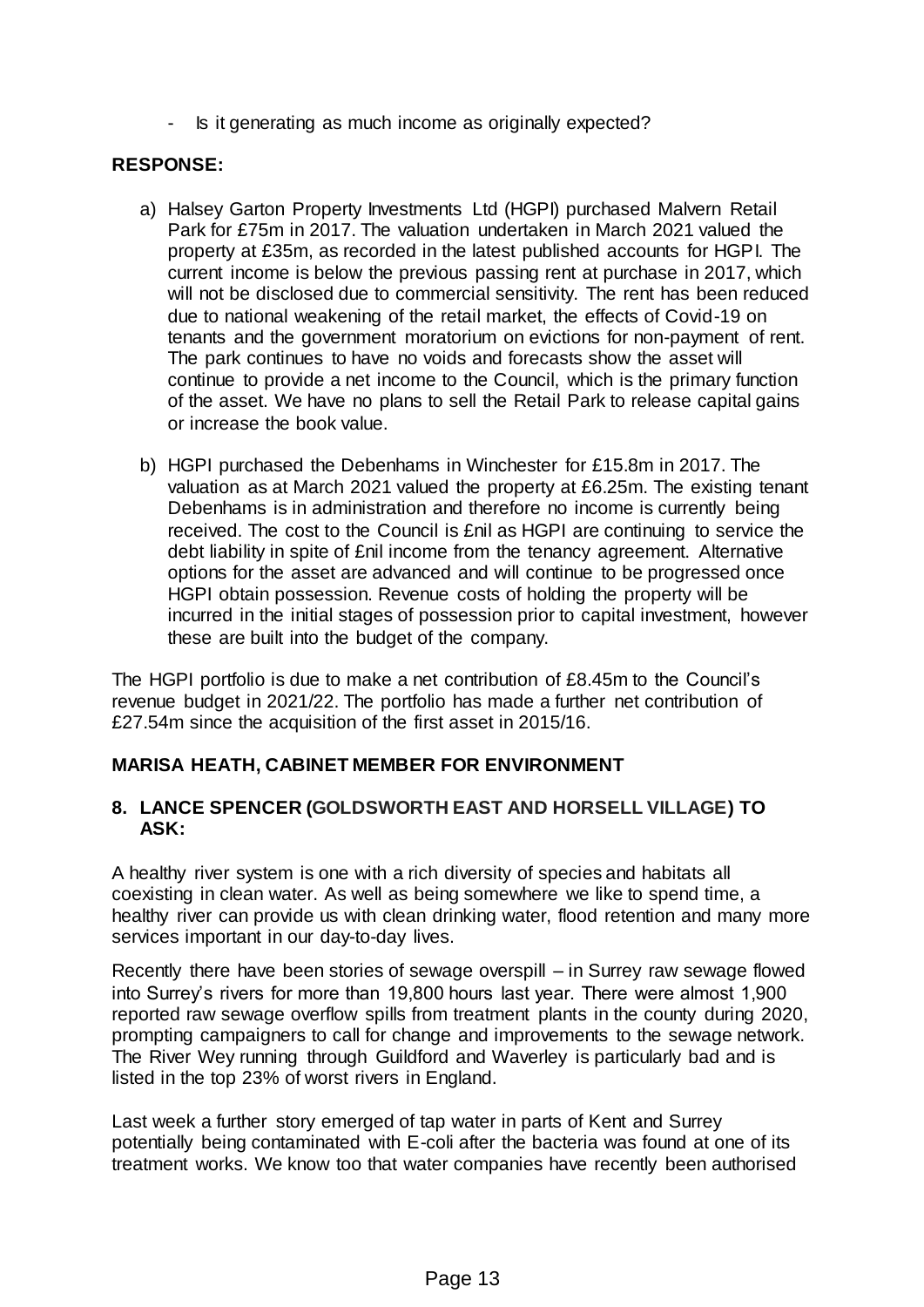Is it generating as much income as originally expected?

### **RESPONSE:**

- a) Halsey Garton Property Investments Ltd (HGPI) purchased Malvern Retail Park for £75m in 2017. The valuation undertaken in March 2021 valued the property at £35m, as recorded in the latest published accounts for HGPI. The current income is below the previous passing rent at purchase in 2017, which will not be disclosed due to commercial sensitivity. The rent has been reduced due to national weakening of the retail market, the effects of Covid-19 on tenants and the government moratorium on evictions for non-payment of rent. The park continues to have no voids and forecasts show the asset will continue to provide a net income to the Council, which is the primary function of the asset. We have no plans to sell the Retail Park to release capital gains or increase the book value.
- b) HGPI purchased the Debenhams in Winchester for £15.8m in 2017. The valuation as at March 2021 valued the property at £6.25m. The existing tenant Debenhams is in administration and therefore no income is currently being received. The cost to the Council is £nil as HGPI are continuing to service the debt liability in spite of £nil income from the tenancy agreement. Alternative options for the asset are advanced and will continue to be progressed once HGPI obtain possession. Revenue costs of holding the property will be incurred in the initial stages of possession prior to capital investment, however these are built into the budget of the company.

The HGPI portfolio is due to make a net contribution of £8.45m to the Council's revenue budget in 2021/22. The portfolio has made a further net contribution of £27.54m since the acquisition of the first asset in 2015/16.

### **MARISA HEATH, CABINET MEMBER FOR ENVIRONMENT**

### **8. LANCE SPENCER (GOLDSWORTH EAST AND HORSELL VILLAGE) TO ASK:**

A healthy river system is one with a rich diversity of species and habitats all coexisting in clean water. As well as being somewhere we like to spend time, a healthy river can provide us with clean drinking water, flood retention and many more services important in our day-to-day lives.

Recently there have been stories of sewage overspill – in Surrey raw sewage flowed into Surrey's rivers for more than 19,800 hours last year. There were almost 1,900 reported raw sewage overflow spills from treatment plants in the county during 2020, prompting campaigners to call for change and improvements to the sewage network. The River Wey running through Guildford and Waverley is particularly bad and is listed in the top 23% of worst rivers in England.

Last week a further story emerged of tap water in parts of Kent and Surrey potentially being contaminated with E-coli after the bacteria was found at one of its treatment works. We know too that water companies have recently been authorised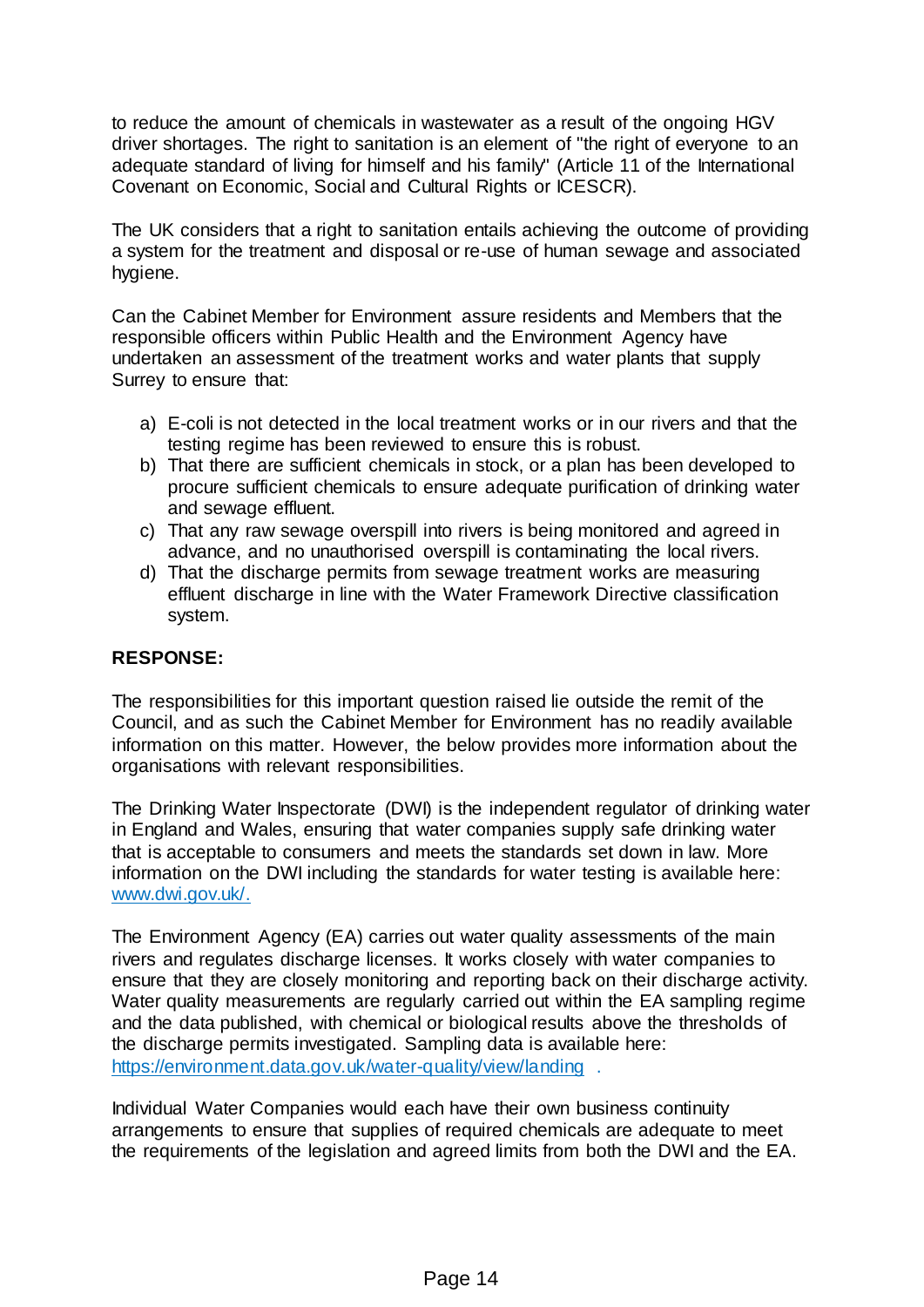to reduce the amount of chemicals in wastewater as a result of the ongoing HGV driver shortages. The right to sanitation is an element of "the right of everyone to an adequate standard of living for himself and his family" (Article 11 of the International Covenant on Economic, Social and Cultural Rights or ICESCR).

The UK considers that a right to sanitation entails achieving the outcome of providing a system for the treatment and disposal or re-use of human sewage and associated hygiene.

Can the Cabinet Member for Environment assure residents and Members that the responsible officers within Public Health and the Environment Agency have undertaken an assessment of the treatment works and water plants that supply Surrey to ensure that:

- a) E-coli is not detected in the local treatment works or in our rivers and that the testing regime has been reviewed to ensure this is robust.
- b) That there are sufficient chemicals in stock, or a plan has been developed to procure sufficient chemicals to ensure adequate purification of drinking water and sewage effluent.
- c) That any raw sewage overspill into rivers is being monitored and agreed in advance, and no unauthorised overspill is contaminating the local rivers.
- d) That the discharge permits from sewage treatment works are measuring effluent discharge in line with the Water Framework Directive classification system.

### **RESPONSE:**

The responsibilities for this important question raised lie outside the remit of the Council, and as such the Cabinet Member for Environment has no readily available information on this matter. However, the below provides more information about the organisations with relevant responsibilities.

The Drinking Water Inspectorate (DWI) is the independent regulator of drinking water in England and Wales, ensuring that water companies supply safe drinking water that is acceptable to consumers and meets the standards set down in law. More information on the DWI including the standards for water testing is available here: [www.dwi.gov.uk/.](https://www.dwi.gov.uk/)

The Environment Agency (EA) carries out water quality assessments of the main rivers and regulates discharge licenses. It works closely with water companies to ensure that they are closely monitoring and reporting back on their discharge activity. Water quality measurements are regularly carried out within the EA sampling regime and the data published, with chemical or biological results above the thresholds of the discharge permits investigated. Sampling data is available here: <https://environment.data.gov.uk/water-quality/view/landing> .

Individual Water Companies would each have their own business continuity arrangements to ensure that supplies of required chemicals are adequate to meet the requirements of the legislation and agreed limits from both the DWI and the EA.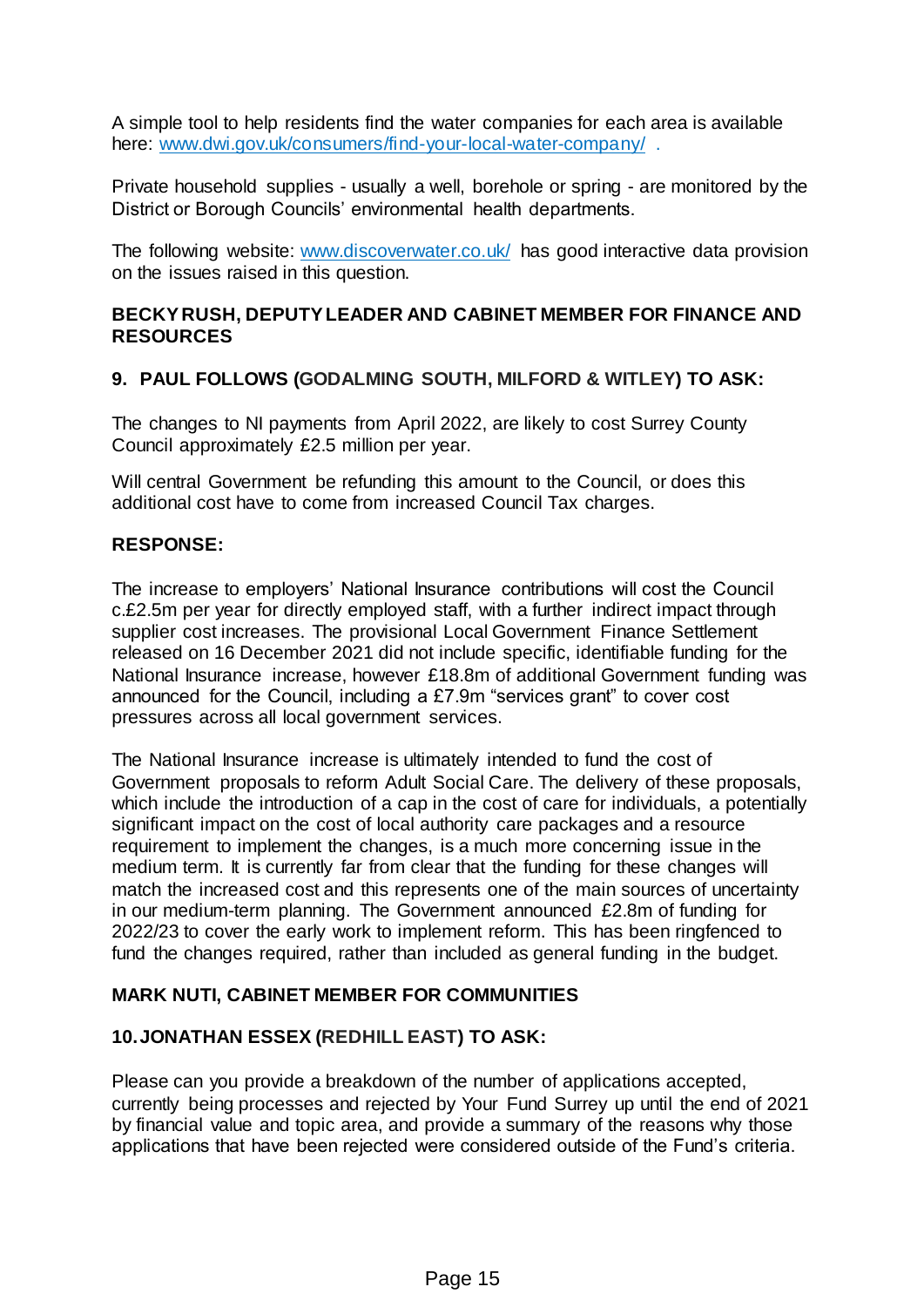A simple tool to help residents find the water companies for each area is available here: [www.dwi.gov.uk/consumers/find-your-local-water-company/](https://www.dwi.gov.uk/consumers/find-your-local-water-company/).

Private household supplies - usually a well, borehole or spring - are monitored by the District or Borough Councils' environmental health departments.

The following website: [www.discoverwater.co.uk/](https://www.discoverwater.co.uk/) has good interactive data provision on the issues raised in this question.

### **BECKY RUSH, DEPUTY LEADER AND CABINET MEMBER FOR FINANCE AND RESOURCES**

# **9. PAUL FOLLOWS (GODALMING SOUTH, MILFORD & WITLEY) TO ASK:**

The changes to NI payments from April 2022, are likely to cost Surrey County Council approximately £2.5 million per year.

Will central Government be refunding this amount to the Council, or does this additional cost have to come from increased Council Tax charges.

### **RESPONSE:**

The increase to employers' National Insurance contributions will cost the Council c.£2.5m per year for directly employed staff, with a further indirect impact through supplier cost increases. The provisional Local Government Finance Settlement released on 16 December 2021 did not include specific, identifiable funding for the National Insurance increase, however £18.8m of additional Government funding was announced for the Council, including a £7.9m "services grant" to cover cost pressures across all local government services.

The National Insurance increase is ultimately intended to fund the cost of Government proposals to reform Adult Social Care. The delivery of these proposals, which include the introduction of a cap in the cost of care for individuals, a potentially significant impact on the cost of local authority care packages and a resource requirement to implement the changes, is a much more concerning issue in the medium term. It is currently far from clear that the funding for these changes will match the increased cost and this represents one of the main sources of uncertainty in our medium-term planning. The Government announced £2.8m of funding for 2022/23 to cover the early work to implement reform. This has been ringfenced to fund the changes required, rather than included as general funding in the budget.

### **MARK NUTI, CABINET MEMBER FOR COMMUNITIES**

### **10.JONATHAN ESSEX (REDHILL EAST) TO ASK:**

Please can you provide a breakdown of the number of applications accepted, currently being processes and rejected by Your Fund Surrey up until the end of 2021 by financial value and topic area, and provide a summary of the reasons why those applications that have been rejected were considered outside of the Fund's criteria.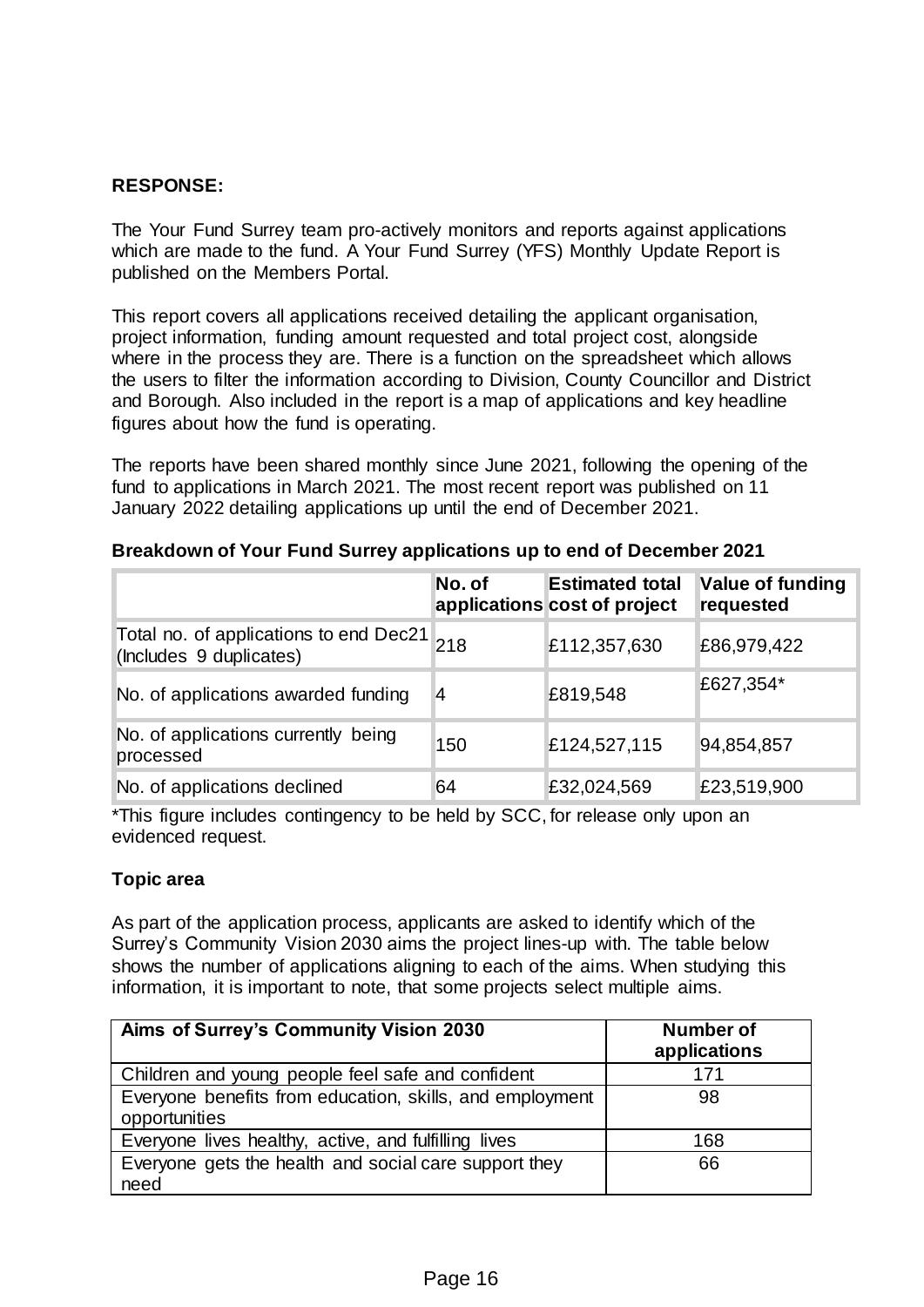# **RESPONSE:**

The Your Fund Surrey team pro-actively monitors and reports against applications which are made to the fund. A Your Fund Surrey (YFS) Monthly Update Report is published on the Members Portal.

This report covers all applications received detailing the applicant organisation, project information, funding amount requested and total project cost, alongside where in the process they are. There is a function on the spreadsheet which allows the users to filter the information according to Division, County Councillor and District and Borough. Also included in the report is a map of applications and key headline figures about how the fund is operating.

The reports have been shared monthly since June 2021, following the opening of the fund to applications in March 2021. The most recent report was published on 11 January 2022 detailing applications up until the end of December 2021.

|                                                                       | No. of         | <b>Estimated total</b><br>applications cost of project | Value of funding<br>requested |
|-----------------------------------------------------------------------|----------------|--------------------------------------------------------|-------------------------------|
| Total no. of applications to end Dec21 218<br>(Includes 9 duplicates) |                | £112,357,630                                           | £86,979,422                   |
| No. of applications awarded funding                                   | $\overline{4}$ | £819,548                                               | £627,354*                     |
| No. of applications currently being<br>processed                      | 150            | £124,527,115                                           | 94,854,857                    |
| No. of applications declined                                          | 64             | £32,024,569                                            | £23,519,900                   |

#### **Breakdown of Your Fund Surrey applications up to end of December 2021**

\*This figure includes contingency to be held by SCC, for release only upon an evidenced request.

#### **Topic area**

As part of the application process, applicants are asked to identify which of the Surrey's Community Vision 2030 aims the project lines-up with. The table below shows the number of applications aligning to each of the aims. When studying this information, it is important to note, that some projects select multiple aims.

| Aims of Surrey's Community Vision 2030                                    | Number of<br>applications |
|---------------------------------------------------------------------------|---------------------------|
| Children and young people feel safe and confident                         | 171                       |
| Everyone benefits from education, skills, and employment<br>opportunities | 98                        |
| Everyone lives healthy, active, and fulfilling lives                      | 168                       |
| Everyone gets the health and social care support they                     | 66                        |
| need                                                                      |                           |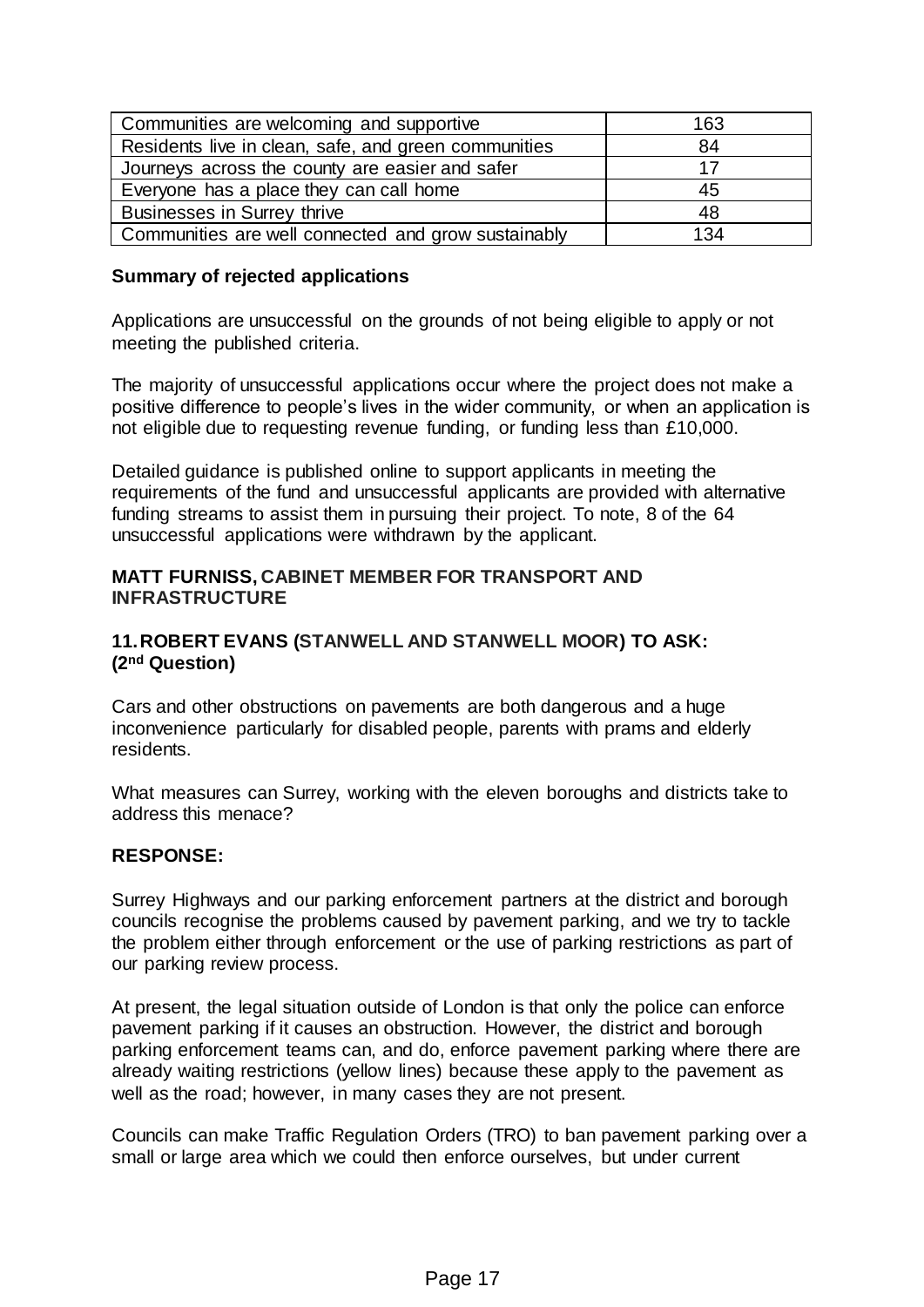| Communities are welcoming and supportive             | 163 |
|------------------------------------------------------|-----|
| Residents live in clean, safe, and green communities | 84  |
| Journeys across the county are easier and safer      | 17  |
| Everyone has a place they can call home              | 45  |
| <b>Businesses in Surrey thrive</b>                   | 48  |
| Communities are well connected and grow sustainably  | 134 |

### **Summary of rejected applications**

Applications are unsuccessful on the grounds of not being eligible to apply or not meeting the published criteria.

The majority of unsuccessful applications occur where the project does not make a positive difference to people's lives in the wider community, or when an application is not eligible due to requesting revenue funding, or funding less than £10,000.

Detailed guidance is published online to support applicants in meeting the requirements of the fund and unsuccessful applicants are provided with alternative funding streams to assist them in pursuing their project. To note, 8 of the 64 unsuccessful applications were withdrawn by the applicant.

#### **MATT FURNISS, CABINET MEMBER FOR TRANSPORT AND INFRASTRUCTURE**

### **11.ROBERT EVANS (STANWELL AND STANWELL MOOR) TO ASK: (2nd Question)**

Cars and other obstructions on pavements are both dangerous and a huge inconvenience particularly for disabled people, parents with prams and elderly residents.

What measures can Surrey, working with the eleven boroughs and districts take to address this menace?

### **RESPONSE:**

Surrey Highways and our parking enforcement partners at the district and borough councils recognise the problems caused by pavement parking, and we try to tackle the problem either through enforcement or the use of parking restrictions as part of our parking review process.

At present, the legal situation outside of London is that only the police can enforce pavement parking if it causes an obstruction. However, the district and borough parking enforcement teams can, and do, enforce pavement parking where there are already waiting restrictions (yellow lines) because these apply to the pavement as well as the road; however, in many cases they are not present.

Councils can make Traffic Regulation Orders (TRO) to ban pavement parking over a small or large area which we could then enforce ourselves, but under current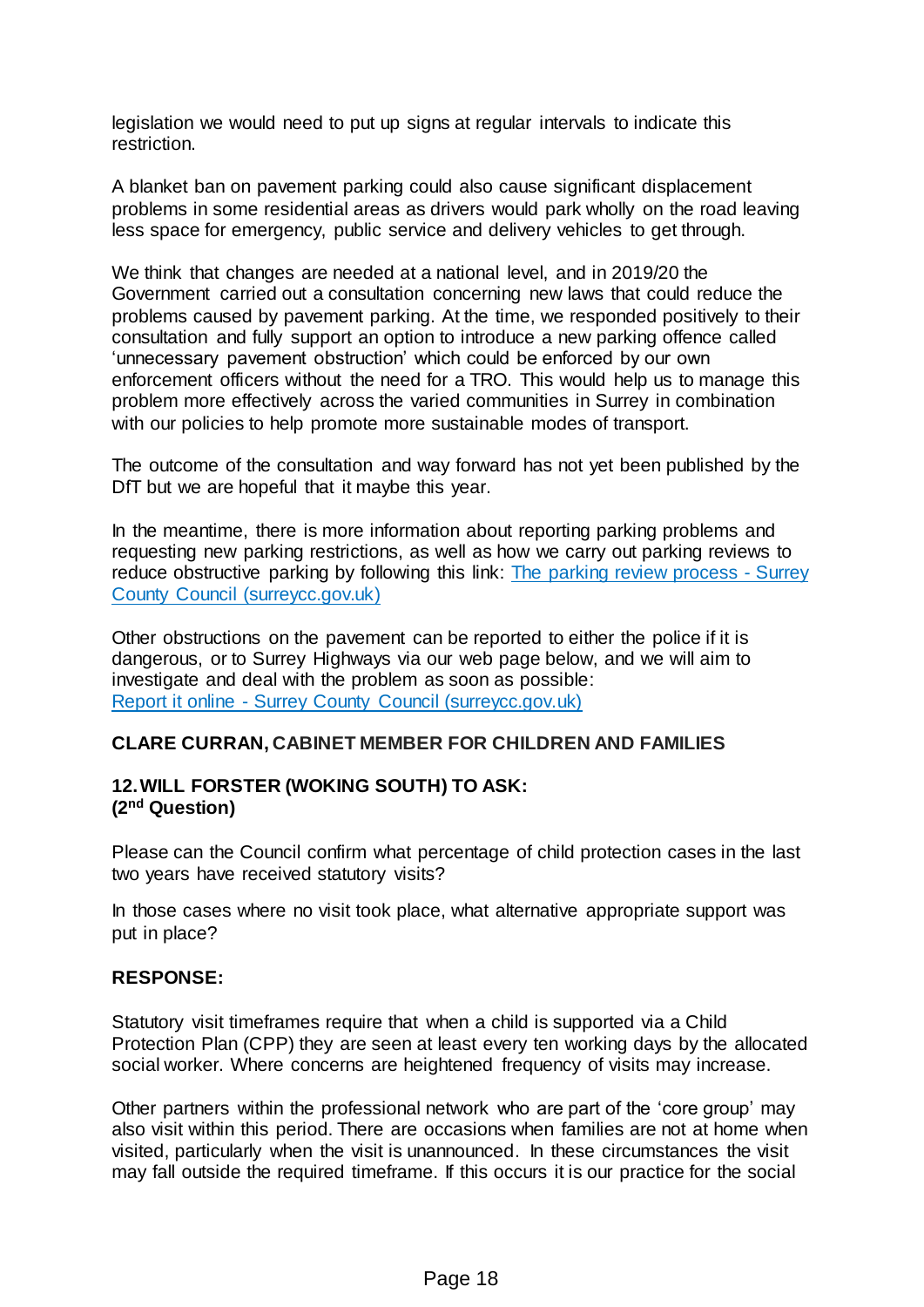legislation we would need to put up signs at regular intervals to indicate this restriction.

A blanket ban on pavement parking could also cause significant displacement problems in some residential areas as drivers would park wholly on the road leaving less space for emergency, public service and delivery vehicles to get through.

We think that changes are needed at a national level, and in 2019/20 the Government carried out a consultation concerning new laws that could reduce the problems caused by pavement parking. At the time, we responded positively to their consultation and fully support an option to introduce a new parking offence called 'unnecessary pavement obstruction' which could be enforced by our own enforcement officers without the need for a TRO. This would help us to manage this problem more effectively across the varied communities in Surrey in combination with our policies to help promote more sustainable modes of transport.

The outcome of the consultation and way forward has not yet been published by the DfT but we are hopeful that it maybe this year.

In the meantime, there is more information about reporting parking problems and requesting new parking restrictions, as well as how we carry out parking reviews to reduce obstructive parking by following this link: [The parking review process -](https://www.surreycc.gov.uk/roads-and-transport/parking/reviews) Surrey [County Council \(surreycc.gov.uk\)](https://www.surreycc.gov.uk/roads-and-transport/parking/reviews)

Other obstructions on the pavement can be reported to either the police if it is dangerous, or to Surrey Highways via our web page below, and we will aim to investigate and deal with the problem as soon as possible: Report it online - [Surrey County Council \(surreycc.gov.uk\)](https://www.surreycc.gov.uk/do-it-online/report-it-online)

### **CLARE CURRAN, CABINET MEMBER FOR CHILDREN AND FAMILIES**

# **12.WILL FORSTER (WOKING SOUTH) TO ASK: (2nd Question)**

Please can the Council confirm what percentage of child protection cases in the last two years have received statutory visits?

In those cases where no visit took place, what alternative appropriate support was put in place?

### **RESPONSE:**

Statutory visit timeframes require that when a child is supported via a Child Protection Plan (CPP) they are seen at least every ten working days by the allocated social worker. Where concerns are heightened frequency of visits may increase.

Other partners within the professional network who are part of the 'core group' may also visit within this period. There are occasions when families are not at home when visited, particularly when the visit is unannounced. In these circumstances the visit may fall outside the required timeframe. If this occurs it is our practice for the social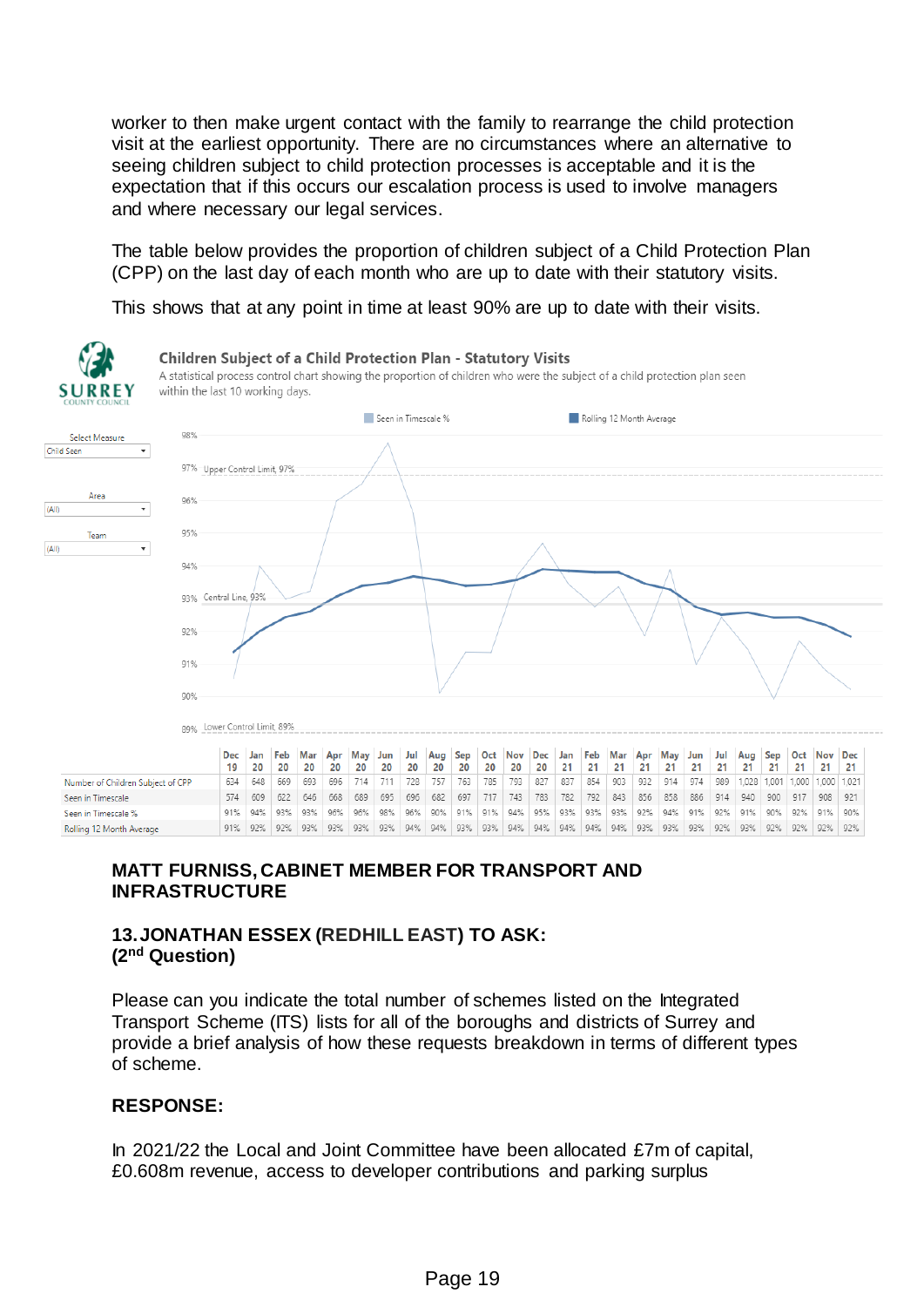worker to then make urgent contact with the family to rearrange the child protection visit at the earliest opportunity. There are no circumstances where an alternative to seeing children subject to child protection processes is acceptable and it is the expectation that if this occurs our escalation process is used to involve managers and where necessary our legal services.

The table below provides the proportion of children subject of a Child Protection Plan (CPP) on the last day of each month who are up to date with their statutory visits.

This shows that at any point in time at least 90% are up to date with their visits.



# **MATT FURNISS, CABINET MEMBER FOR TRANSPORT AND INFRASTRUCTURE**

# **13.JONATHAN ESSEX (REDHILL EAST) TO ASK: (2nd Question)**

Please can you indicate the total number of schemes listed on the Integrated Transport Scheme (ITS) lists for all of the boroughs and districts of Surrey and provide a brief analysis of how these requests breakdown in terms of different types of scheme.

# **RESPONSE:**

In 2021/22 the Local and Joint Committee have been allocated £7m of capital, £0.608m revenue, access to developer contributions and parking surplus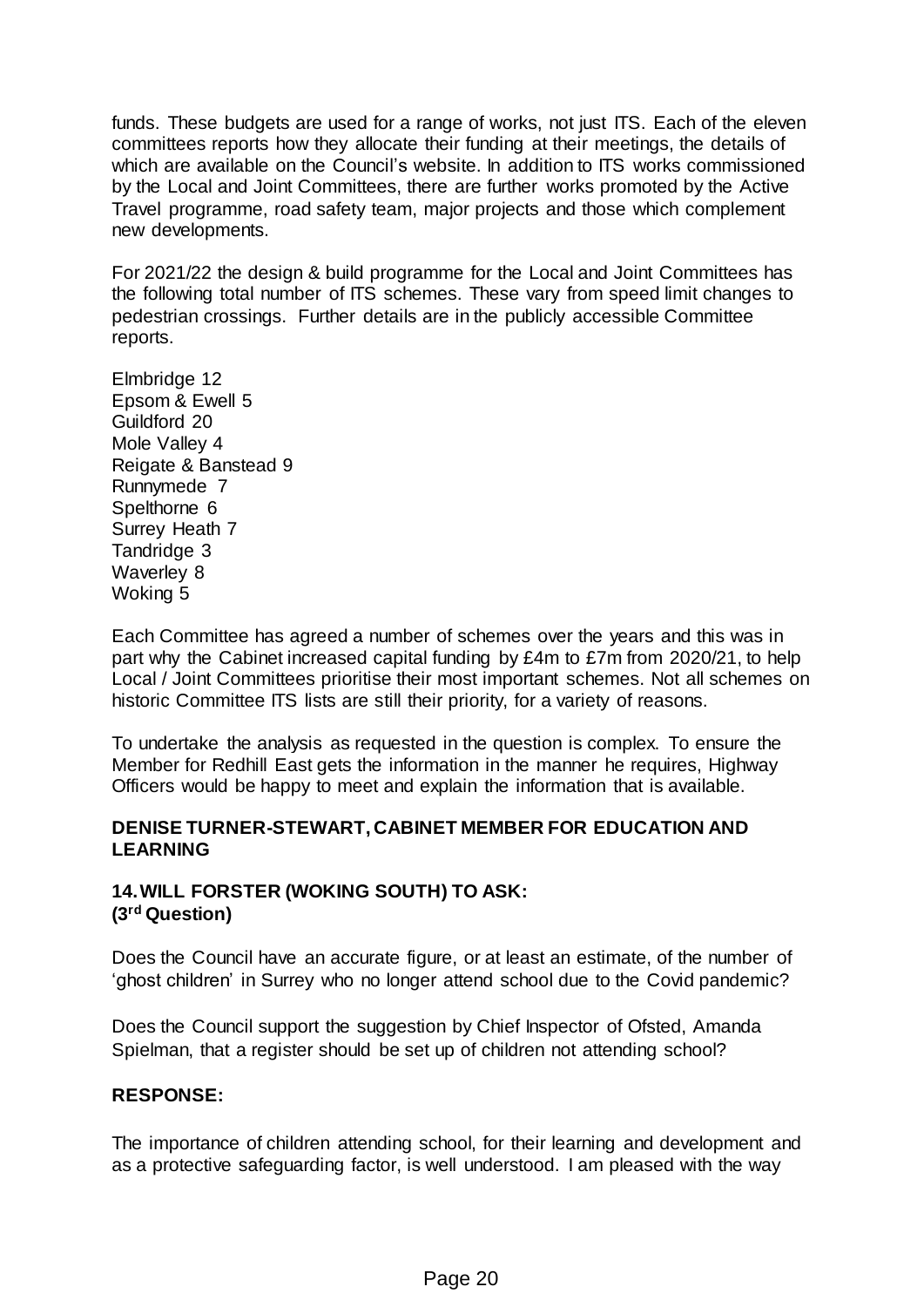funds. These budgets are used for a range of works, not just ITS. Each of the eleven committees reports how they allocate their funding at their meetings, the details of which are available on the Council's website. In addition to ITS works commissioned by the Local and Joint Committees, there are further works promoted by the Active Travel programme, road safety team, major projects and those which complement new developments.

For 2021/22 the design & build programme for the Local and Joint Committees has the following total number of ITS schemes. These vary from speed limit changes to pedestrian crossings. Further details are in the publicly accessible Committee reports.

Elmbridge 12 Epsom & Ewell 5 Guildford 20 Mole Valley 4 Reigate & Banstead 9 Runnymede 7 Spelthorne 6 Surrey Heath 7 Tandridge 3 Waverley 8 Woking 5

Each Committee has agreed a number of schemes over the years and this was in part why the Cabinet increased capital funding by £4m to £7m from 2020/21, to help Local / Joint Committees prioritise their most important schemes. Not all schemes on historic Committee ITS lists are still their priority, for a variety of reasons.

To undertake the analysis as requested in the question is complex. To ensure the Member for Redhill East gets the information in the manner he requires, Highway Officers would be happy to meet and explain the information that is available.

# **DENISE TURNER-STEWART, CABINET MEMBER FOR EDUCATION AND LEARNING**

# **14.WILL FORSTER (WOKING SOUTH) TO ASK: (3rd Question)**

Does the Council have an accurate figure, or at least an estimate, of the number of 'ghost children' in Surrey who no longer attend school due to the Covid pandemic?

Does the Council support the suggestion by Chief Inspector of Ofsted, Amanda Spielman, that a register should be set up of children not attending school?

# **RESPONSE:**

The importance of children attending school, for their learning and development and as a protective safeguarding factor, is well understood. I am pleased with the way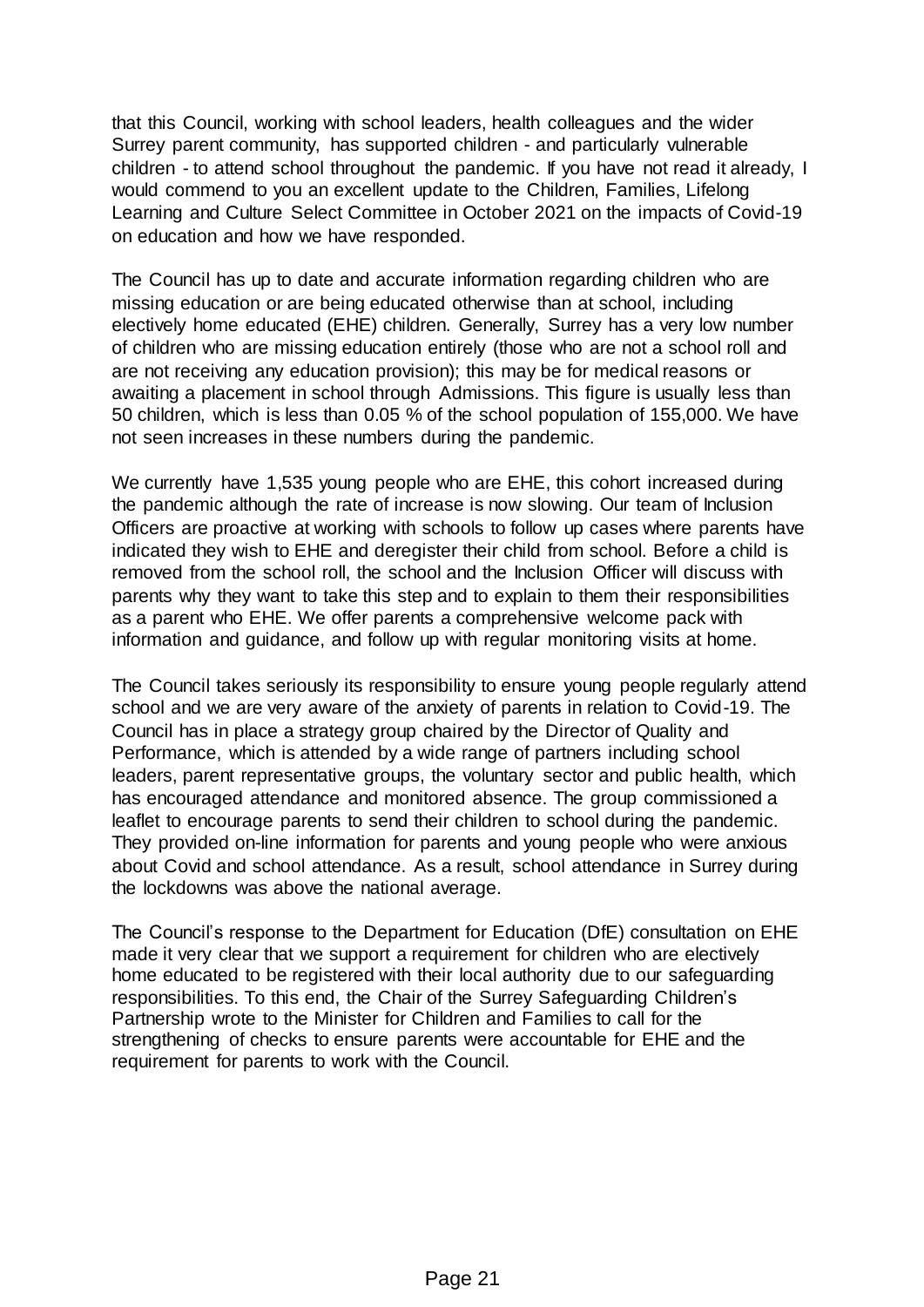that this Council, working with school leaders, health colleagues and the wider Surrey parent community, has supported children - and particularly vulnerable children - to attend school throughout the pandemic. If you have not read it already, I would commend to you an excellent update to the Children, Families, Lifelong Learning and Culture Select Committee in October 2021 on the impacts of Covid-19 on education and how we have responded.

The Council has up to date and accurate information regarding children who are missing education or are being educated otherwise than at school, including electively home educated (EHE) children. Generally, Surrey has a very low number of children who are missing education entirely (those who are not a school roll and are not receiving any education provision); this may be for medical reasons or awaiting a placement in school through Admissions. This figure is usually less than 50 children, which is less than 0.05 % of the school population of 155,000. We have not seen increases in these numbers during the pandemic.

We currently have 1,535 young people who are EHE, this cohort increased during the pandemic although the rate of increase is now slowing. Our team of Inclusion Officers are proactive at working with schools to follow up cases where parents have indicated they wish to EHE and deregister their child from school. Before a child is removed from the school roll, the school and the Inclusion Officer will discuss with parents why they want to take this step and to explain to them their responsibilities as a parent who EHE. We offer parents a comprehensive welcome pack with information and guidance, and follow up with regular monitoring visits at home.

The Council takes seriously its responsibility to ensure young people regularly attend school and we are very aware of the anxiety of parents in relation to Covid-19. The Council has in place a strategy group chaired by the Director of Quality and Performance, which is attended by a wide range of partners including school leaders, parent representative groups, the voluntary sector and public health, which has encouraged attendance and monitored absence. The group commissioned a leaflet to encourage parents to send their children to school during the pandemic. They provided on-line information for parents and young people who were anxious about Covid and school attendance. As a result, school attendance in Surrey during the lockdowns was above the national average.

The Council's response to the Department for Education (DfE) consultation on EHE made it very clear that we support a requirement for children who are electively home educated to be registered with their local authority due to our safeguarding responsibilities. To this end, the Chair of the Surrey Safeguarding Children's Partnership wrote to the Minister for Children and Families to call for the strengthening of checks to ensure parents were accountable for EHE and the requirement for parents to work with the Council.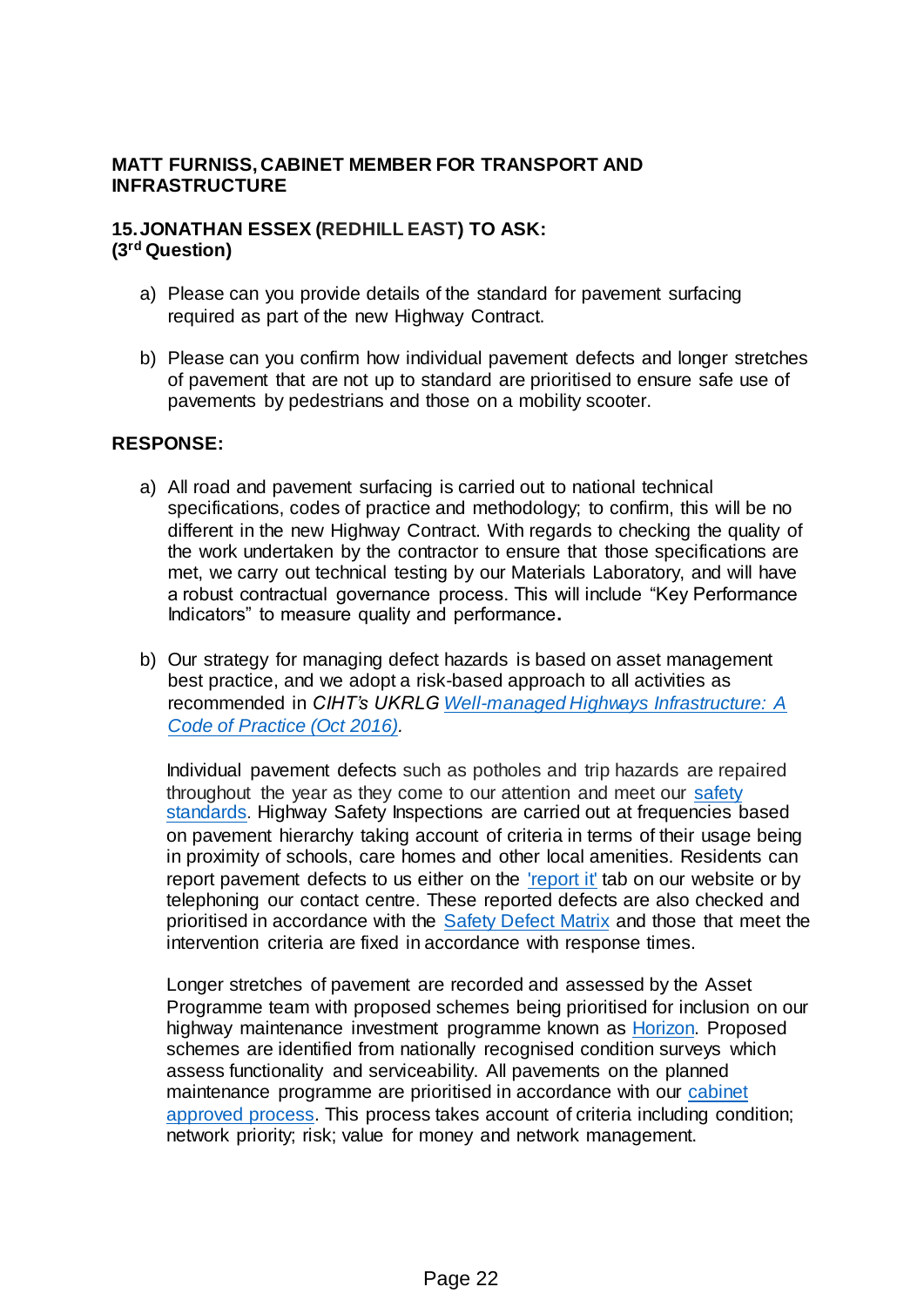# **MATT FURNISS, CABINET MEMBER FOR TRANSPORT AND INFRASTRUCTURE**

### **15.JONATHAN ESSEX (REDHILL EAST) TO ASK: (3rd Question)**

- a) Please can you provide details of the standard for pavement surfacing required as part of the new Highway Contract.
- b) Please can you confirm how individual pavement defects and longer stretches of pavement that are not up to standard are prioritised to ensure safe use of pavements by pedestrians and those on a mobility scooter.

### **RESPONSE:**

- a) All road and pavement surfacing is carried out to national technical specifications, codes of practice and methodology; to confirm, this will be no different in the new Highway Contract. With regards to checking the quality of the work undertaken by the contractor to ensure that those specifications are met, we carry out technical testing by our Materials Laboratory, and will have a robust contractual governance process. This will include "Key Performance Indicators" to measure quality and performance**.**
- b) Our strategy for managing defect hazards is based on asset management best practice, and we adopt a risk-based approach to all activities as recommended in *CIHT's UKRL[G Well-managed Highways Infrastructure: A](https://www.ciht.org.uk/media/11915/well-managed_highway_infrastructure_combined_-_28_october_2016_amended_15_march_2017_.pdf)  [Code of Practice \(Oct 2016\).](https://www.ciht.org.uk/media/11915/well-managed_highway_infrastructure_combined_-_28_october_2016_amended_15_march_2017_.pdf)*

Individual pavement defects such as potholes and trip hazards are repaired throughout the year as they come to our attention and meet our [safety](https://www.surreycc.gov.uk/roads-and-transport/policies-plans-consultations/policies-and-plans/highway-safety-inspections-standards-and-procedures)  [standards](https://www.surreycc.gov.uk/roads-and-transport/policies-plans-consultations/policies-and-plans/highway-safety-inspections-standards-and-procedures). Highway Safety Inspections are carried out at frequencies based on pavement hierarchy taking account of criteria in terms of their usage being in proximity of schools, care homes and other local amenities. Residents can report pavement defects to us either on the ['report it'](https://www9.surreycc.gov.uk/HighwayIssue/whatistheissue.aspx?&code=potcw) tab on our website or by telephoning our contact centre. These reported defects are also checked and prioritised in accordance with the **Safety Defect Matrix** and those that meet the intervention criteria are fixed in accordance with response times.

Longer stretches of pavement are recorded and assessed by the Asset Programme team with proposed schemes being prioritised for inclusion on our highway maintenance investment programme known as [Horizon.](https://www.surreycc.gov.uk/roads-and-transport/roadworks-and-maintenance/horizon-highway-maintenance-investment-programme) Proposed schemes are identified from nationally recognised condition surveys which assess functionality and serviceability. All pavements on the planned maintenance programme are prioritised in accordance with our [cabinet](https://www.surreycc.gov.uk/roads-and-transport/roadworks-and-maintenance/maintenance/how-we-prioritise-road-maintenance)  [approved process.](https://www.surreycc.gov.uk/roads-and-transport/roadworks-and-maintenance/maintenance/how-we-prioritise-road-maintenance) This process takes account of criteria including condition; network priority; risk; value for money and network management.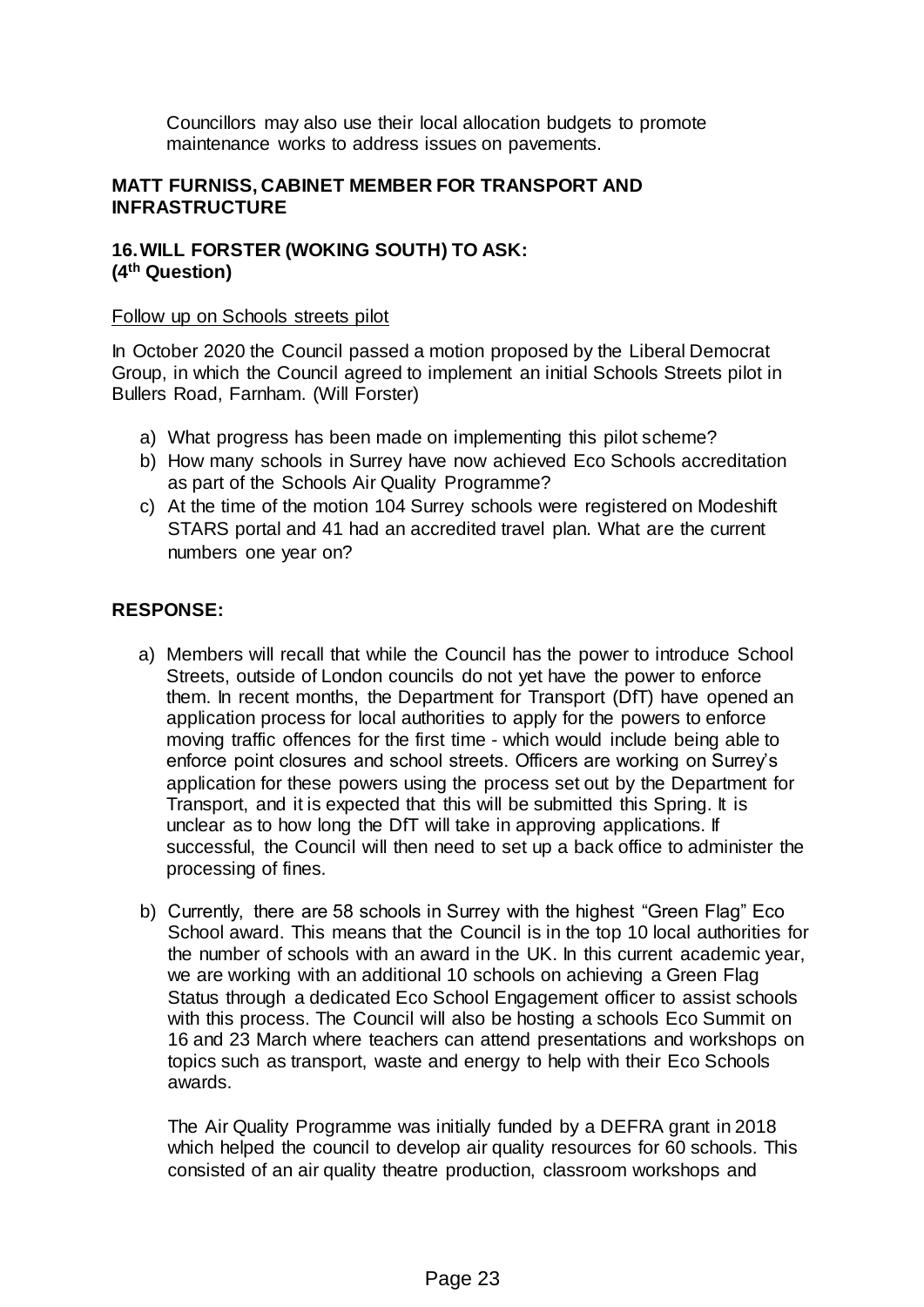Councillors may also use their local allocation budgets to promote maintenance works to address issues on pavements.

# **MATT FURNISS, CABINET MEMBER FOR TRANSPORT AND INFRASTRUCTURE**

# **16.WILL FORSTER (WOKING SOUTH) TO ASK: (4th Question)**

#### Follow up on Schools streets pilot

In October 2020 the Council passed a motion proposed by the Liberal Democrat Group, in which the Council agreed to implement an initial Schools Streets pilot in Bullers Road, Farnham. (Will Forster)

- a) What progress has been made on implementing this pilot scheme?
- b) How many schools in Surrey have now achieved Eco Schools accreditation as part of the Schools Air Quality Programme?
- c) At the time of the motion 104 Surrey schools were registered on Modeshift STARS portal and 41 had an accredited travel plan. What are the current numbers one year on?

# **RESPONSE:**

- a) Members will recall that while the Council has the power to introduce School Streets, outside of London councils do not yet have the power to enforce them. In recent months, the Department for Transport (DfT) have opened an application process for local authorities to apply for the powers to enforce moving traffic offences for the first time - which would include being able to enforce point closures and school streets. Officers are working on Surrey's application for these powers using the process set out by the Department for Transport, and it is expected that this will be submitted this Spring. It is unclear as to how long the DfT will take in approving applications. If successful, the Council will then need to set up a back office to administer the processing of fines.
- b) Currently, there are 58 schools in Surrey with the highest "Green Flag" Eco School award. This means that the Council is in the top 10 local authorities for the number of schools with an award in the UK. In this current academic year, we are working with an additional 10 schools on achieving a Green Flag Status through a dedicated Eco School Engagement officer to assist schools with this process. The Council will also be hosting a schools Eco Summit on 16 and 23 March where teachers can attend presentations and workshops on topics such as transport, waste and energy to help with their Eco Schools awards.

The Air Quality Programme was initially funded by a DEFRA grant in 2018 which helped the council to develop air quality resources for 60 schools. This consisted of an air quality theatre production, classroom workshops and